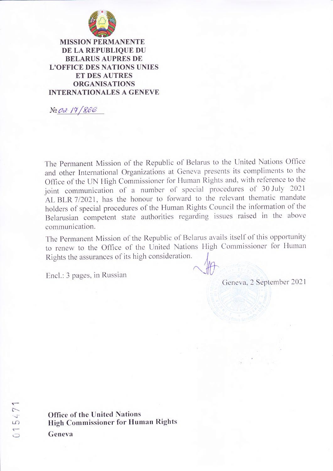

**MISSION PERMANENTE** DE LA REPUBLIQUE DU **BELARUS AUPRES DE L'OFFICE DES NATIONS UNIES ET DES AUTRES ORGANISATIONS INTERNATIONALES A GENEVE** 

 $N_2$  02-14/866

The Permanent Mission of the Republic of Belarus to the United Nations Office and other International Organizations at Geneva presents its compliments to the Office of the UN High Commissioner for Human Rights and, with reference to the joint communication of a number of special procedures of 30 July 2021 AL BLR 7/2021, has the honour to forward to the relevant thematic mandate holders of special procedures of the Human Rights Council the information of the Belarusian competent state authorities regarding issues raised in the above communication.

The Permanent Mission of the Republic of Belarus avails itself of this opportunity to renew to the Office of the United Nations High Commissioner for Human Rights the assurances of its high consideration.

Encl.: 3 pages, in Russian

Geneva, 2 September 2021

**Office of the United Nations High Commissioner for Human Rights** Geneva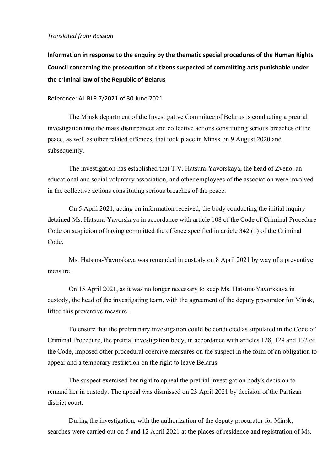## *Translated from Russian*

**Information in response to the enquiry by the thematic special procedures of the Human Rights Council concerning the prosecution of citizens suspected of committing acts punishable under the criminal law of the Republic of Belarus**

## Reference: AL BLR 7/2021 of 30 June 2021

The Minsk department of the Investigative Committee of Belarus is conducting <sup>a</sup> pretrial investigation into the mass disturbances and collective actions constituting serious breaches of the peace, as well as other related offences, that took place in Minsk on 9 August 2020 and subsequently.

The investigation has established that T.V. Hatsura-Yavorskaya, the head of Zveno, an educational and social voluntary association, and other employees of the association were involved in the collective actions constituting serious breaches of the peace.

On 5 April 2021, acting on information received, the body conducting the initial inquiry detained Ms. Hatsura-Yavorskaya in accordance with article 108 of the Code of Criminal Procedure Code on suspicion of having committed the offence specified in article 342 (1) of the Criminal Code.

Ms. Hatsura-Yavorskaya was remanded in custody on 8 April 2021 by way of <sup>a</sup> preventive measure.

On 15 April 2021, as it was no longer necessary to keep Ms. Hatsura-Yavorskaya in custody, the head of the investigating team, with the agreemen<sup>t</sup> of the deputy procurator for Minsk, lifted this preventive measure.

To ensure that the preliminary investigation could be conducted as stipulated in the Code of Criminal Procedure, the pretrial investigation body, in accordance with articles 128, 129 and 132 of the Code, imposed other procedural coercive measures on the suspec<sup>t</sup> in the form of an obligation to appear and <sup>a</sup> temporary restriction on the right to leave Belarus.

The suspec<sup>t</sup> exercised her right to appeal the pretrial investigation body's decision to remand her in custody. The appeal was dismissed on 23 April 2021 by decision of the Partizan district court.

During the investigation, with the authorization of the deputy procurator for Minsk, searches were carried out on 5 and 12 April 2021 at the places of residence and registration of Ms.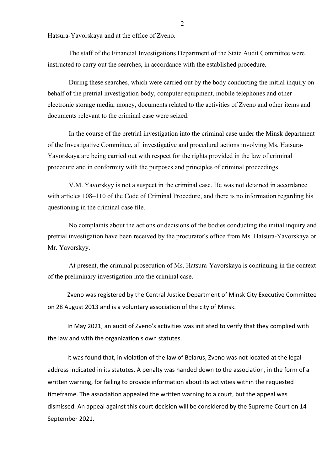Hatsura-Yavorskaya and at the office of Zveno.

The staff of the Financial Investigations Department of the State Audit Committee were instructed to carry out the searches, in accordance with the established procedure.

During these searches, which were carried out by the body conducting the initial inquiry on behalf of the pretrial investigation body, computer equipment, mobile telephones and other electronic storage media, money, documents related to the activities of Zveno and other items and documents relevant to the criminal case were seized.

In the course of the pretrial investigation into the criminal case under the Minsk department of the Investigative Committee, all investigative and procedural actions involving Ms. Hatsura-Yavorskaya are being carried out with respec<sup>t</sup> for the rights provided in the law of criminal procedure and in conformity with the purposes and principles of criminal proceedings.

V.M. Yavorskyy is not <sup>a</sup> suspec<sup>t</sup> in the criminal case. He was not detained in accordance with articles 108–110 of the Code of Criminal Procedure, and there is no information regarding his questioning in the criminal case file.

No complaints about the actions or decisions of the bodies conducting the initial inquiry and pretrial investigation have been received by the procurator's office from Ms. Hatsura-Yavorskaya or Mr. Yavorskyy.

At present, the criminal prosecution of Ms. Hatsura-Yavorskaya is continuing in the context of the preliminary investigation into the criminal case.

Zveno was registered by the Central Justice Department of Minsk City Executive Committee on 28 August 2013 and is <sup>a</sup> voluntary association of the city of Minsk.

In May 2021, an audit of Zveno's activities was initiated to verify that they complied with the law and with the organization's own statutes.

It was found that, in violation of the law of Belarus, Zveno was not located at the legal address indicated in its statutes. A penalty was handed down to the association, in the form of <sup>a</sup> written warning, for failing to provide information about its activities within the requested timeframe. The association appealed the written warning to <sup>a</sup> court, but the appeal was dismissed. An appeal against this court decision will be considered by the Supreme Court on 14 September 2021.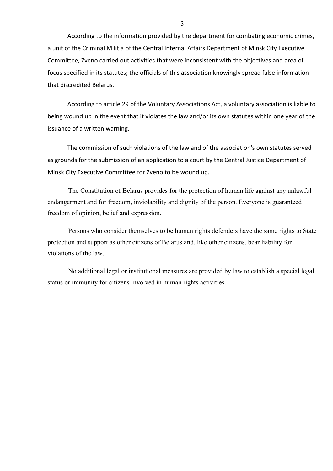According to the information provided by the department for combating economic crimes, <sup>a</sup> unit of the Criminal Militia of the Central Internal Affairs Department of Minsk City Executive Committee, Zveno carried out activities that were inconsistent with the objectives and area of focus specified in its statutes; the officials of this association knowingly spread false information that discredited Belarus.

According to article 29 of the Voluntary Associations Act, <sup>a</sup> voluntary association is liable to being wound up in the event that it violates the law and/or its own statutes within one year of the issuance of <sup>a</sup> written warning.

The commission of such violations of the law and of the association's own statutes served as grounds for the submission of an application to <sup>a</sup> court by the Central Justice Department of Minsk City Executive Committee for Zveno to be wound up.

The Constitution of Belarus provides for the protection of human life against any unlawful endangerment and for freedom, inviolability and dignity of the person. Everyone is guaranteed freedom of opinion, belief and expression.

Persons who consider themselves to be human rights defenders have the same rights to State protection and suppor<sup>t</sup> as other citizens of Belarus and, like other citizens, bear liability for violations of the law.

No additional legal or institutional measures are provided by law to establish <sup>a</sup> special legal status or immunity for citizens involved in human rights activities.

-----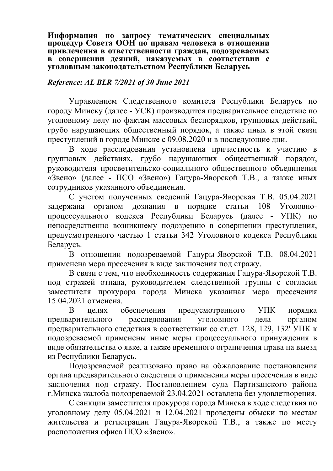**Информация по запросу тематических специальных процедур Совета ООН по правам человека в отношении привлечения в ответственности граждан, подозреваемых в совершении деяний, наказуемых в соответствии с уголовным законодательством Республики Беларусь** 

## *Reference: AL BLR 7/2021 of 30 June 2021*

Управлением Следственного комитета Республики Беларусь по городу Минску (далее - УСК) производится предварительное следствие по уголовному делу по фактам массовых беспорядков, групповых действий, грубо нарушающих общественный порядок, а также иных в этой связи преступлений в городе Минске с 09.08.2020 и в последующие дни.

В ходе расследования установлена причастность к участию в групповых действиях, грубо нарушающих общественный порядок, руководителя просветительско-социального общественного объединения «Звено» (далее - ПСО «Звено») Гацура-Яворской Т.В., а также иных сотрудников указанного объединения.

С учетом полученных сведений Гацура-Яворская Т.В. 05.04.2021 задержана органом дознания в порядке статьи 108 Уголовнопроцессуального кодекса Республики Беларусь (далее - УПК) по непосредственно возникшему подозрению в совершении преступления, предусмотренного частью 1 статьи 342 Уголовного кодекса Республики Беларусь.

В отношении подозреваемой Гацуры-Яворской Т.В. 08.04.2021 применена мера пресечения в виде заключения под стражу.

В связи с тем, что необходимость содержания Гацура-Яворской Т.В. под стражей отпала, руководителем следственной группы с согласия заместителя прокурора города Минска указанная мера пресечения 15.04.2021 отменена.

В целях обеспечения предусмотренного УПК порядка предварительного расследования уголовного дела органом предварительного следствия в соответствии со ст.ст. 128, 129, 132' УПК к подозреваемой применены иные меры процессуального принуждения в виде обязательства о явке, а также временного ограничения права на выезд из Республики Беларусь.

Подозреваемой реализовано право на обжалование постановления органа предварительного следствия о применении меры пресечения в виде заключения под стражу. Постановлением суда Партизанского района г.Минска жалоба подозреваемой 23.04.2021 оставлена без удовлетворения.

С санкции заместителя прокурора города Минска в ходе следствия по уголовному делу 05.04.2021 и 12.04.2021 проведены обыски по местам жительства и регистрации Гацура-Яворской Т.В., а также по месту расположения офиса ПСО «Звено».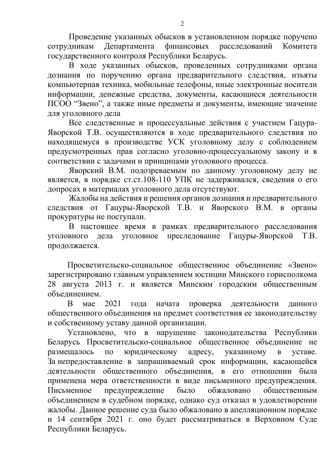Проведение указанных обысков в установленном порядке поручено сотрудникам Департамента финансовых расследований Комитета государственного контроля Республики Беларусь.

В ходе указанных обысков, проведенных сотрудниками органа дознания по поручению органа предварительного следствия, изъяты компьютерная техника, мобильные телефоны, иные электронные носители информации, денежные средства, документы, касающиеся деятельности ПСОО "Звено", а также иные предметы и документы, имеющие значение для уголовного дела

Все следственные и процессуальные действия с участием Гацура-Яворской Т.В. осуществляются в ходе предварительного следствия по находящемуся в производстве УСК уголовному делу с соблюдением предусмотренных прав согласно уголовно-процессуальному закону и в соответствии с задачами и принципами уголовного процесса.

Яворский В.М. подозреваемым по данному уголовному делу не является, в порядке ст.ст.108-110 УПК не задерживался, сведения о его допросах в материалах уголовного дела отсутствуют.

Жалобы на действия и решения органов дознания и предварительного следствия от Гацуры-Яворской Т.В. и Яворского В.М. в органы прокуратуры не поступали.

В настоящее время в рамках предварительного расследования уголовного дела уголовное преследование Гацуры-Яворской Т.В. продолжается.

Просветительско-социальное общественное объединение «Звено» зарегистрировано главным управлением юстиции Минского горисполкома 28 августа 2013 г. и является Минским городским общественным объединением.

В мае 2021 года начата проверка деятельности данного общественного объединения на предмет соответствия ее законодательству и собственному уставу данной организации.

Установлено, что в нарушение законодательства Республики Беларусь Просветительско-социальное общественное объединение не размещалось по юридическому адресу, указанному в уставе. За непредоставление в запрашиваемый срок информации, касающейся деятельности общественного объединения, в его отношении была применена мера ответственности в виде письменного предупреждения. Письменное предупреждение было обжаловано общественным объединением в судебном порядке, однако суд отказал в удовлетворении жалобы. Данное решение суда было обжаловано в апелляционном порядке и 14 сентября 2021 г. оно будет рассматриваться в Верховном Суде Республики Беларусь.